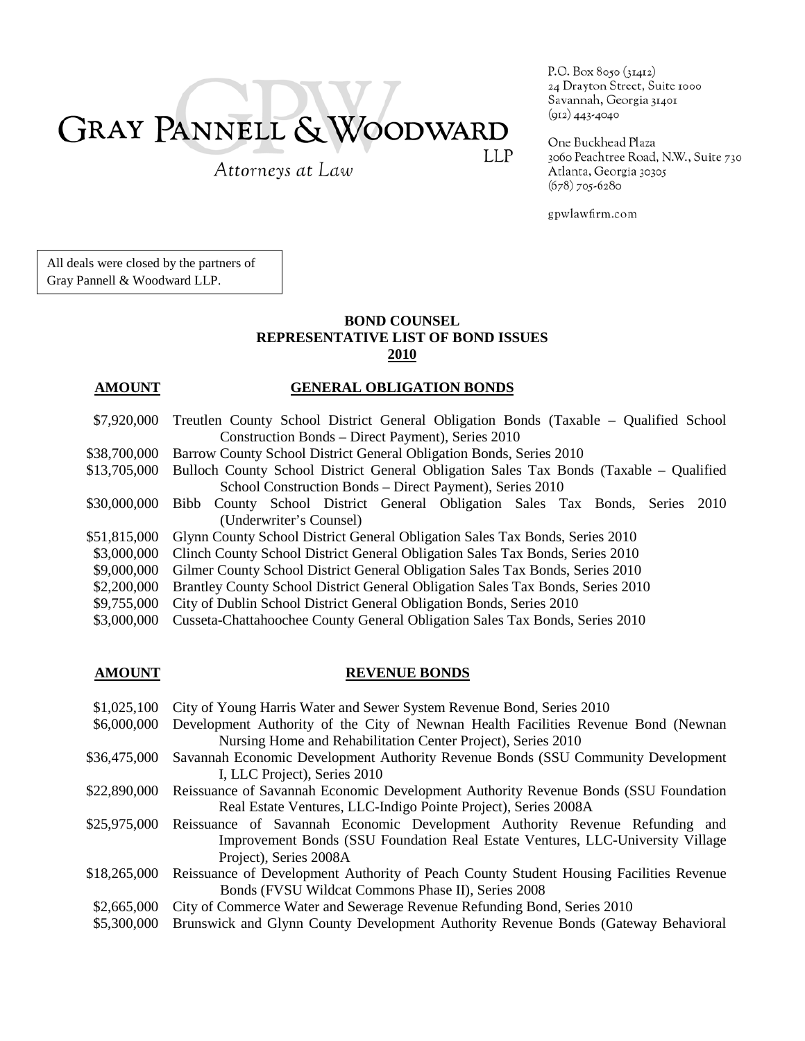# **GRAY PANNELL & WOODWARD** LLP

Attorneys at Law

P.O. Box 8050 (31412) 24 Drayton Street, Suite 1000 Savannah, Georgia 31401  $(912)$  443-4040

One Buckhead Plaza 3060 Peachtree Road, N.W., Suite 730 Atlanta, Georgia 30305  $(678)$  705-6280

gpwlawfirm.com

All deals were closed by the partners of Gray Pannell & Woodward LLP.

## **BOND COUNSEL REPRESENTATIVE LIST OF BOND ISSUES 2010**

### **AMOUNT GENERAL OBLIGATION BONDS**

- \$7,920,000 Treutlen County School District General Obligation Bonds (Taxable Qualified School Construction Bonds – Direct Payment), Series 2010
- \$38,700,000 Barrow County School District General Obligation Bonds, Series 2010
- \$13,705,000 Bulloch County School District General Obligation Sales Tax Bonds (Taxable Qualified School Construction Bonds – Direct Payment), Series 2010
- \$30,000,000 Bibb County School District General Obligation Sales Tax Bonds, Series 2010 (Underwriter's Counsel)
- \$51,815,000 Glynn County School District General Obligation Sales Tax Bonds, Series 2010
- \$3,000,000 Clinch County School District General Obligation Sales Tax Bonds, Series 2010
- \$9,000,000 Gilmer County School District General Obligation Sales Tax Bonds, Series 2010
- \$2,200,000 Brantley County School District General Obligation Sales Tax Bonds, Series 2010
- \$9,755,000 City of Dublin School District General Obligation Bonds, Series 2010
- \$3,000,000 Cusseta-Chattahoochee County General Obligation Sales Tax Bonds, Series 2010

### **AMOUNT** REVENUE BONDS

- \$1,025,100 City of Young Harris Water and Sewer System Revenue Bond, Series 2010
- \$6,000,000 Development Authority of the City of Newnan Health Facilities Revenue Bond (Newnan Nursing Home and Rehabilitation Center Project), Series 2010
- \$36,475,000 Savannah Economic Development Authority Revenue Bonds (SSU Community Development I, LLC Project), Series 2010
- \$22,890,000 Reissuance of Savannah Economic Development Authority Revenue Bonds (SSU Foundation Real Estate Ventures, LLC-Indigo Pointe Project), Series 2008A
- \$25,975,000 Reissuance of Savannah Economic Development Authority Revenue Refunding and Improvement Bonds (SSU Foundation Real Estate Ventures, LLC-University Village Project), Series 2008A
- \$18,265,000 Reissuance of Development Authority of Peach County Student Housing Facilities Revenue Bonds (FVSU Wildcat Commons Phase II), Series 2008
- \$2,665,000 City of Commerce Water and Sewerage Revenue Refunding Bond, Series 2010
- \$5,300,000 Brunswick and Glynn County Development Authority Revenue Bonds (Gateway Behavioral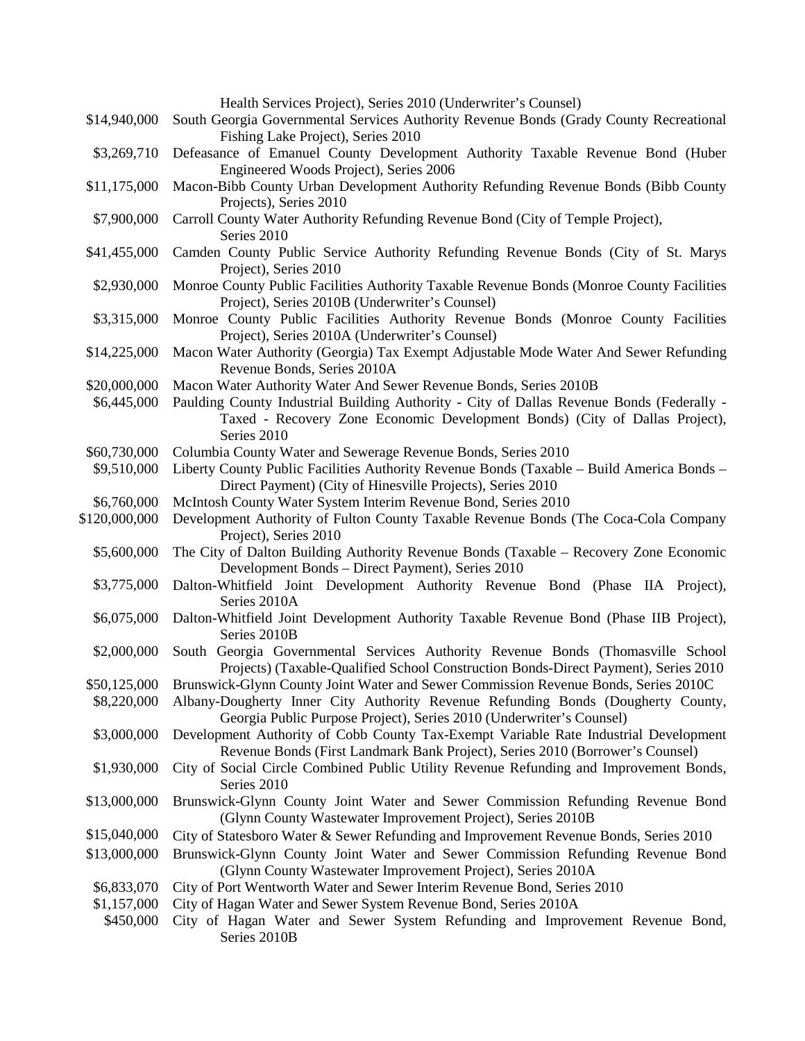|               | Health Services Project), Series 2010 (Underwriter's Counsel)                                                                                                           |
|---------------|-------------------------------------------------------------------------------------------------------------------------------------------------------------------------|
| \$14,940,000  | South Georgia Governmental Services Authority Revenue Bonds (Grady County Recreational                                                                                  |
|               | Fishing Lake Project), Series 2010                                                                                                                                      |
| \$3,269,710   | Defeasance of Emanuel County Development Authority Taxable Revenue Bond (Huber                                                                                          |
|               | Engineered Woods Project), Series 2006                                                                                                                                  |
| \$11,175,000  | Macon-Bibb County Urban Development Authority Refunding Revenue Bonds (Bibb County                                                                                      |
|               | Projects), Series 2010                                                                                                                                                  |
| \$7,900,000   | Carroll County Water Authority Refunding Revenue Bond (City of Temple Project),                                                                                         |
|               | Series 2010                                                                                                                                                             |
| \$41,455,000  | Camden County Public Service Authority Refunding Revenue Bonds (City of St. Marys                                                                                       |
|               | Project), Series 2010                                                                                                                                                   |
| \$2,930,000   | Monroe County Public Facilities Authority Taxable Revenue Bonds (Monroe County Facilities                                                                               |
|               | Project), Series 2010B (Underwriter's Counsel)                                                                                                                          |
| \$3,315,000   | Monroe County Public Facilities Authority Revenue Bonds (Monroe County Facilities                                                                                       |
|               | Project), Series 2010A (Underwriter's Counsel)                                                                                                                          |
| \$14,225,000  | Macon Water Authority (Georgia) Tax Exempt Adjustable Mode Water And Sewer Refunding                                                                                    |
|               | Revenue Bonds, Series 2010A                                                                                                                                             |
| \$20,000,000  | Macon Water Authority Water And Sewer Revenue Bonds, Series 2010B                                                                                                       |
| \$6,445,000   | Paulding County Industrial Building Authority - City of Dallas Revenue Bonds (Federally -                                                                               |
|               | Taxed - Recovery Zone Economic Development Bonds) (City of Dallas Project),                                                                                             |
|               | Series 2010                                                                                                                                                             |
| \$60,730,000  | Columbia County Water and Sewerage Revenue Bonds, Series 2010                                                                                                           |
| \$9,510,000   | Liberty County Public Facilities Authority Revenue Bonds (Taxable – Build America Bonds –                                                                               |
|               | Direct Payment) (City of Hinesville Projects), Series 2010                                                                                                              |
| \$6,760,000   | McIntosh County Water System Interim Revenue Bond, Series 2010                                                                                                          |
| \$120,000,000 | Development Authority of Fulton County Taxable Revenue Bonds (The Coca-Cola Company                                                                                     |
|               | Project), Series 2010                                                                                                                                                   |
| \$5,600,000   | The City of Dalton Building Authority Revenue Bonds (Taxable - Recovery Zone Economic                                                                                   |
|               | Development Bonds - Direct Payment), Series 2010                                                                                                                        |
| \$3,775,000   | Dalton-Whitfield Joint Development Authority Revenue Bond (Phase IIA Project),                                                                                          |
|               | Series 2010A                                                                                                                                                            |
| \$6,075,000   | Dalton-Whitfield Joint Development Authority Taxable Revenue Bond (Phase IIB Project),                                                                                  |
|               | Series 2010B                                                                                                                                                            |
| \$2,000,000   | South Georgia Governmental Services Authority Revenue Bonds (Thomasville School                                                                                         |
|               | Projects) (Taxable-Qualified School Construction Bonds-Direct Payment), Series 2010                                                                                     |
| \$50,125,000  | Brunswick-Glynn County Joint Water and Sewer Commission Revenue Bonds, Series 2010C                                                                                     |
| \$8,220,000   | Albany-Dougherty Inner City Authority Revenue Refunding Bonds (Dougherty County,                                                                                        |
|               | Georgia Public Purpose Project), Series 2010 (Underwriter's Counsel)<br>Development Authority of Cobb County Tax-Exempt Variable Rate Industrial Development            |
| \$3,000,000   |                                                                                                                                                                         |
| \$1,930,000   | Revenue Bonds (First Landmark Bank Project), Series 2010 (Borrower's Counsel)<br>City of Social Circle Combined Public Utility Revenue Refunding and Improvement Bonds, |
|               | Series 2010                                                                                                                                                             |
| \$13,000,000  | Brunswick-Glynn County Joint Water and Sewer Commission Refunding Revenue Bond                                                                                          |
|               |                                                                                                                                                                         |
|               | (Glynn County Wastewater Improvement Project), Series 2010B                                                                                                             |
| \$15,040,000  | City of Statesboro Water & Sewer Refunding and Improvement Revenue Bonds, Series 2010                                                                                   |
| \$13,000,000  | Brunswick-Glynn County Joint Water and Sewer Commission Refunding Revenue Bond                                                                                          |
|               | (Glynn County Wastewater Improvement Project), Series 2010A                                                                                                             |
| \$6,833,070   | City of Port Wentworth Water and Sewer Interim Revenue Bond, Series 2010                                                                                                |
| \$1,157,000   | City of Hagan Water and Sewer System Revenue Bond, Series 2010A                                                                                                         |
| \$450,000     | City of Hagan Water and Sewer System Refunding and Improvement Revenue Bond,<br>Series 2010B                                                                            |